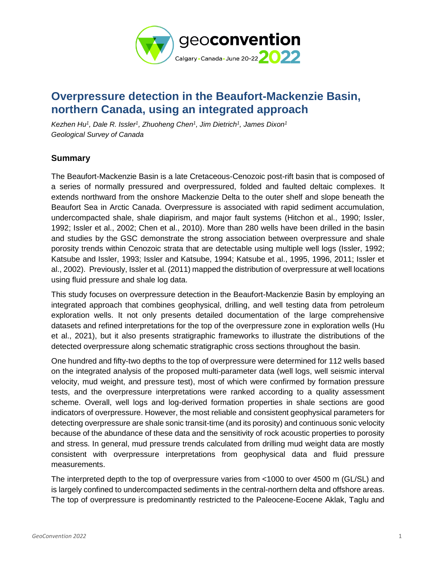

## **Overpressure detection in the Beaufort-Mackenzie Basin, northern Canada, using an integrated approach**

*Kezhen Hu<sup>1</sup> , Dale R. Issler<sup>1</sup> , Zhuoheng Chen<sup>1</sup> , Jim Dietrich<sup>1</sup> , James Dixon<sup>1</sup> Geological Survey of Canada*

## **Summary**

The Beaufort-Mackenzie Basin is a late Cretaceous-Cenozoic post-rift basin that is composed of a series of normally pressured and overpressured, folded and faulted deltaic complexes. It extends northward from the onshore Mackenzie Delta to the outer shelf and slope beneath the Beaufort Sea in Arctic Canada. Overpressure is associated with rapid sediment accumulation, undercompacted shale, shale diapirism, and major fault systems (Hitchon et al., 1990; Issler, 1992; Issler et al., 2002; Chen et al., 2010). More than 280 wells have been drilled in the basin and studies by the GSC demonstrate the strong association between overpressure and shale porosity trends within Cenozoic strata that are detectable using multiple well logs (Issler, 1992; Katsube and Issler, 1993; Issler and Katsube, 1994; Katsube et al., 1995, 1996, 2011; Issler et al., 2002). Previously, Issler et al. (2011) mapped the distribution of overpressure at well locations using fluid pressure and shale log data.

This study focuses on overpressure detection in the Beaufort-Mackenzie Basin by employing an integrated approach that combines geophysical, drilling, and well testing data from petroleum exploration wells. It not only presents detailed documentation of the large comprehensive datasets and refined interpretations for the top of the overpressure zone in exploration wells (Hu et al., 2021), but it also presents stratigraphic frameworks to illustrate the distributions of the detected overpressure along schematic stratigraphic cross sections throughout the basin.

One hundred and fifty-two depths to the top of overpressure were determined for 112 wells based on the integrated analysis of the proposed multi-parameter data (well logs, well seismic interval velocity, mud weight, and pressure test), most of which were confirmed by formation pressure tests, and the overpressure interpretations were ranked according to a quality assessment scheme. Overall, well logs and log-derived formation properties in shale sections are good indicators of overpressure. However, the most reliable and consistent geophysical parameters for detecting overpressure are shale sonic transit-time (and its porosity) and continuous sonic velocity because of the abundance of these data and the sensitivity of rock acoustic properties to porosity and stress. In general, mud pressure trends calculated from drilling mud weight data are mostly consistent with overpressure interpretations from geophysical data and fluid pressure measurements.

The interpreted depth to the top of overpressure varies from <1000 to over 4500 m (GL/SL) and is largely confined to undercompacted sediments in the central-northern delta and offshore areas. The top of overpressure is predominantly restricted to the Paleocene-Eocene Aklak, Taglu and